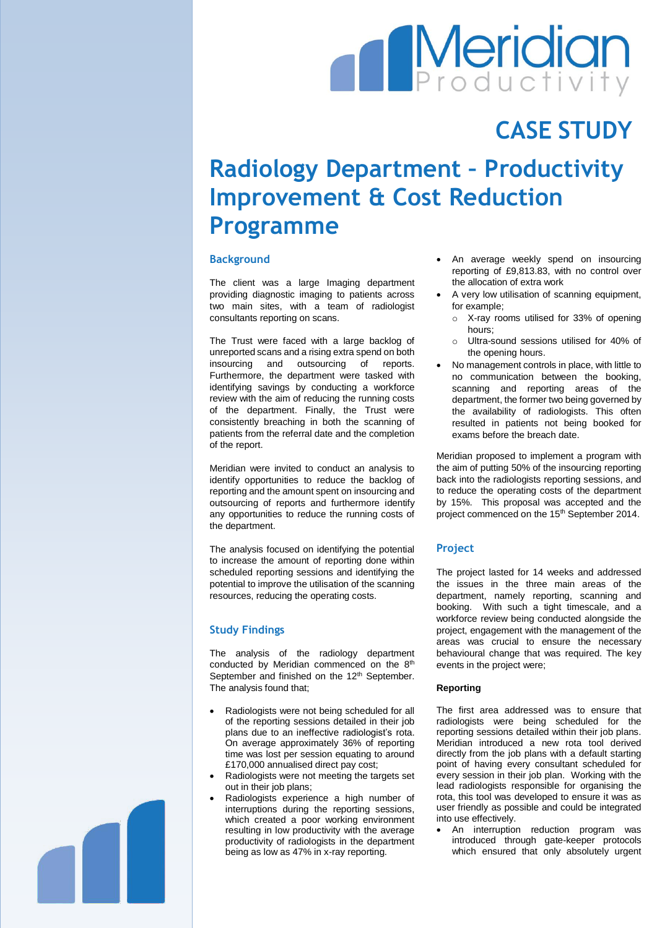# **Meridian**

# **CASE STUDY**

# **Radiology Department – Productivity Improvement & Cost Reduction Programme**

## **Background**

The client was a large Imaging department providing diagnostic imaging to patients across two main sites, with a team of radiologist consultants reporting on scans.

The Trust were faced with a large backlog of unreported scans and a rising extra spend on both insourcing and outsourcing of reports. Furthermore, the department were tasked with identifying savings by conducting a workforce review with the aim of reducing the running costs of the department. Finally, the Trust were consistently breaching in both the scanning of patients from the referral date and the completion of the report.

Meridian were invited to conduct an analysis to identify opportunities to reduce the backlog of reporting and the amount spent on insourcing and outsourcing of reports and furthermore identify any opportunities to reduce the running costs of the department.

The analysis focused on identifying the potential to increase the amount of reporting done within scheduled reporting sessions and identifying the potential to improve the utilisation of the scanning resources, reducing the operating costs.

## **Study Findings**

The analysis of the radiology department conducted by Meridian commenced on the  $8<sup>th</sup>$ September and finished on the 12<sup>th</sup> September. The analysis found that;

- Radiologists were not being scheduled for all of the reporting sessions detailed in their job plans due to an ineffective radiologist's rota. On average approximately 36% of reporting time was lost per session equating to around £170,000 annualised direct pay cost;
- Radiologists were not meeting the targets set out in their job plans;
- Radiologists experience a high number of interruptions during the reporting sessions, which created a poor working environment resulting in low productivity with the average productivity of radiologists in the department being as low as 47% in x-ray reporting.
- An average weekly spend on insourcing reporting of £9,813.83, with no control over the allocation of extra work
- A very low utilisation of scanning equipment, for example;
	- o X-ray rooms utilised for 33% of opening hours;
	- o Ultra-sound sessions utilised for 40% of the opening hours.
- No management controls in place, with little to no communication between the booking, scanning and reporting areas of the department, the former two being governed by the availability of radiologists. This often resulted in patients not being booked for exams before the breach date.

Meridian proposed to implement a program with the aim of putting 50% of the insourcing reporting back into the radiologists reporting sessions, and to reduce the operating costs of the department by 15%. This proposal was accepted and the project commenced on the 15<sup>th</sup> September 2014.

## **Project**

The project lasted for 14 weeks and addressed the issues in the three main areas of the department, namely reporting, scanning and booking. With such a tight timescale, and a workforce review being conducted alongside the project, engagement with the management of the areas was crucial to ensure the necessary behavioural change that was required. The key events in the project were;

#### **Reporting**

The first area addressed was to ensure that radiologists were being scheduled for the reporting sessions detailed within their job plans. Meridian introduced a new rota tool derived directly from the job plans with a default starting point of having every consultant scheduled for every session in their job plan. Working with the lead radiologists responsible for organising the rota, this tool was developed to ensure it was as user friendly as possible and could be integrated into use effectively.

• An interruption reduction program was introduced through gate-keeper protocols which ensured that only absolutely urgent